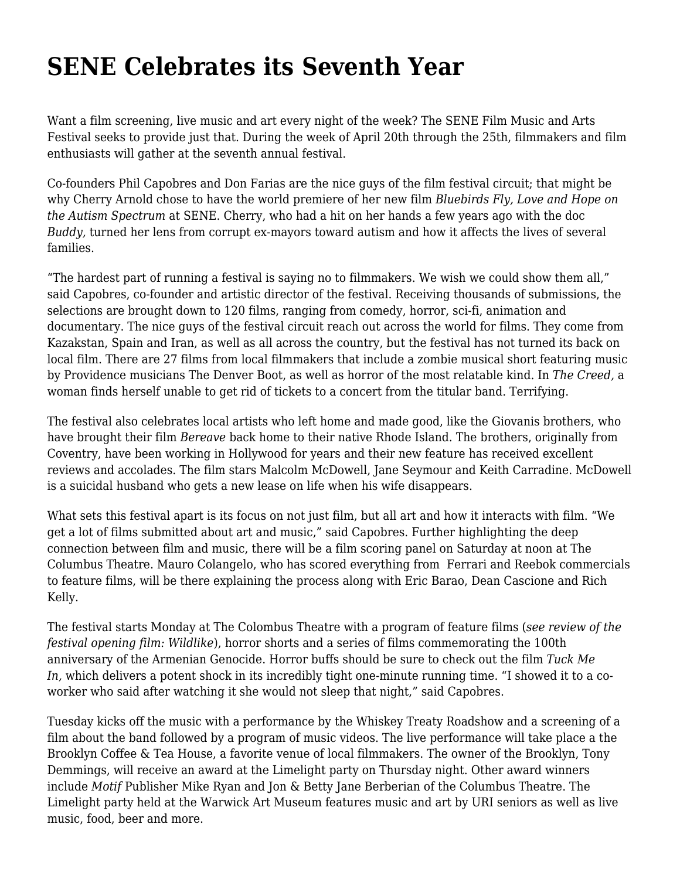## **[SENE Celebrates its Seventh Year](https://motifri.com/sene-celebrates-its-seventh-year/)**

Want a film screening, live music and art every night of the week? The SENE Film Music and Arts Festival seeks to provide just that. During the week of April 20th through the 25th, filmmakers and film enthusiasts will gather at the seventh annual festival.

Co-founders Phil Capobres and Don Farias are the nice guys of the film festival circuit; that might be why Cherry Arnold chose to have the world premiere of her new film *Bluebirds Fly, Love and Hope on the Autism Spectrum* at SENE. Cherry, who had a hit on her hands a few years ago with the doc *Buddy,* turned her lens from corrupt ex-mayors toward autism and how it affects the lives of several families.

"The hardest part of running a festival is saying no to filmmakers. We wish we could show them all," said Capobres, co-founder and artistic director of the festival. Receiving thousands of submissions, the selections are brought down to 120 films, ranging from comedy, horror, sci-fi, animation and documentary. The nice guys of the festival circuit reach out across the world for films. They come from Kazakstan, Spain and Iran, as well as all across the country, but the festival has not turned its back on local film. There are 27 films from local filmmakers that include a zombie musical short featuring music by Providence musicians The Denver Boot, as well as horror of the most relatable kind. In *The Creed,* a woman finds herself unable to get rid of tickets to a concert from the titular band. Terrifying.

The festival also celebrates local artists who left home and made good, like the Giovanis brothers, who have brought their film *Bereave* back home to their native Rhode Island. The brothers, originally from Coventry, have been working in Hollywood for years and their new feature has received excellent reviews and accolades. The film stars Malcolm McDowell, Jane Seymour and Keith Carradine. McDowell is a suicidal husband who gets a new lease on life when his wife disappears.

What sets this festival apart is its focus on not just film, but all art and how it interacts with film. "We get a lot of films submitted about art and music," said Capobres. Further highlighting the deep connection between film and music, there will be a film scoring panel on Saturday at noon at The Columbus Theatre. Mauro Colangelo, who has scored everything from Ferrari and Reebok commercials to feature films, will be there explaining the process along with Eric Barao, Dean Cascione and Rich Kelly.

The festival starts Monday at The Colombus Theatre with a program of feature films (*see review of the festival opening film: [Wildlike](http://www.motifri.com/wildlike)*), horror shorts and a series of films commemorating the 100th anniversary of the Armenian Genocide. Horror buffs should be sure to check out the film *Tuck Me In,* which delivers a potent shock in its incredibly tight one-minute running time. "I showed it to a coworker who said after watching it she would not sleep that night," said Capobres.

Tuesday kicks off the music with a performance by the Whiskey Treaty Roadshow and a screening of a film about the band followed by a program of music videos. The live performance will take place a the Brooklyn Coffee & Tea House, a favorite venue of local filmmakers. The owner of the Brooklyn, Tony Demmings, will receive an award at the Limelight party on Thursday night. Other award winners include *Motif* Publisher Mike Ryan and Jon & Betty Jane Berberian of the Columbus Theatre. The Limelight party held at the Warwick Art Museum features music and art by URI seniors as well as live music, food, beer and more.